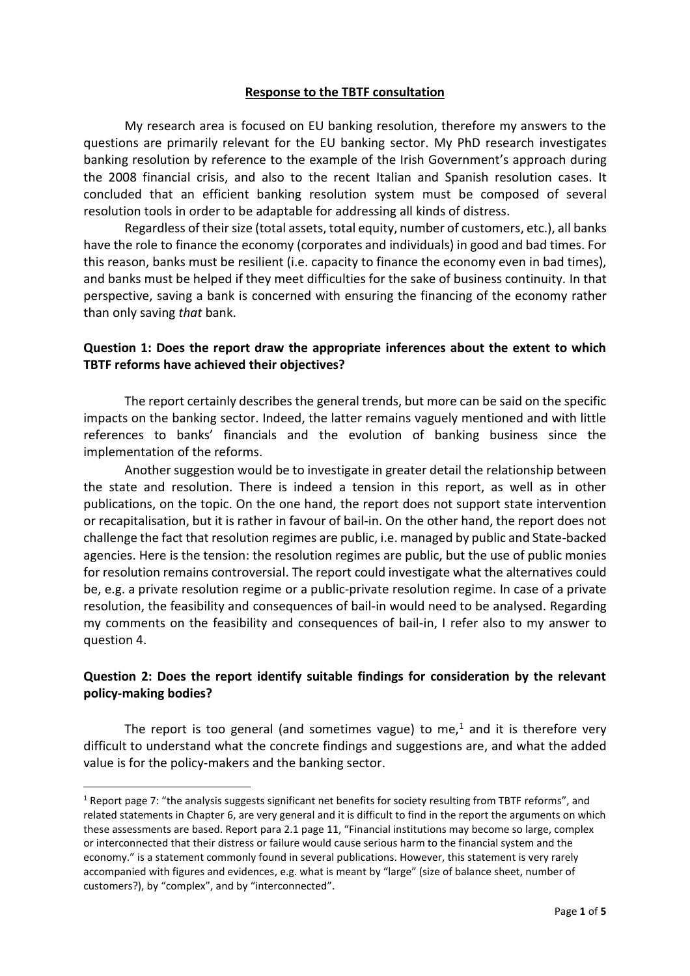#### **Response to the TBTF consultation**

My research area is focused on EU banking resolution, therefore my answers to the questions are primarily relevant for the EU banking sector. My PhD research investigates banking resolution by reference to the example of the Irish Government's approach during the 2008 financial crisis, and also to the recent Italian and Spanish resolution cases. It concluded that an efficient banking resolution system must be composed of several resolution tools in order to be adaptable for addressing all kinds of distress.

Regardless of their size (total assets, total equity, number of customers, etc.), all banks have the role to finance the economy (corporates and individuals) in good and bad times. For this reason, banks must be resilient (i.e. capacity to finance the economy even in bad times), and banks must be helped if they meet difficulties for the sake of business continuity. In that perspective, saving a bank is concerned with ensuring the financing of the economy rather than only saving *that* bank.

### **Question 1: Does the report draw the appropriate inferences about the extent to which TBTF reforms have achieved their objectives?**

The report certainly describes the general trends, but more can be said on the specific impacts on the banking sector. Indeed, the latter remains vaguely mentioned and with little references to banks' financials and the evolution of banking business since the implementation of the reforms.

Another suggestion would be to investigate in greater detail the relationship between the state and resolution. There is indeed a tension in this report, as well as in other publications, on the topic. On the one hand, the report does not support state intervention or recapitalisation, but it is rather in favour of bail-in. On the other hand, the report does not challenge the fact that resolution regimes are public, i.e. managed by public and State-backed agencies. Here is the tension: the resolution regimes are public, but the use of public monies for resolution remains controversial. The report could investigate what the alternatives could be, e.g. a private resolution regime or a public-private resolution regime. In case of a private resolution, the feasibility and consequences of bail-in would need to be analysed. Regarding my comments on the feasibility and consequences of bail-in, I refer also to my answer to question 4.

# **Question 2: Does the report identify suitable findings for consideration by the relevant policy-making bodies?**

The report is too general (and sometimes vague) to me,<sup>1</sup> and it is therefore very difficult to understand what the concrete findings and suggestions are, and what the added value is for the policy-makers and the banking sector.

<sup>1</sup> Report page 7: "the analysis suggests significant net benefits for society resulting from TBTF reforms", and related statements in Chapter 6, are very general and it is difficult to find in the report the arguments on which these assessments are based. Report para 2.1 page 11, "Financial institutions may become so large, complex or interconnected that their distress or failure would cause serious harm to the financial system and the economy." is a statement commonly found in several publications. However, this statement is very rarely accompanied with figures and evidences, e.g. what is meant by "large" (size of balance sheet, number of customers?), by "complex", and by "interconnected".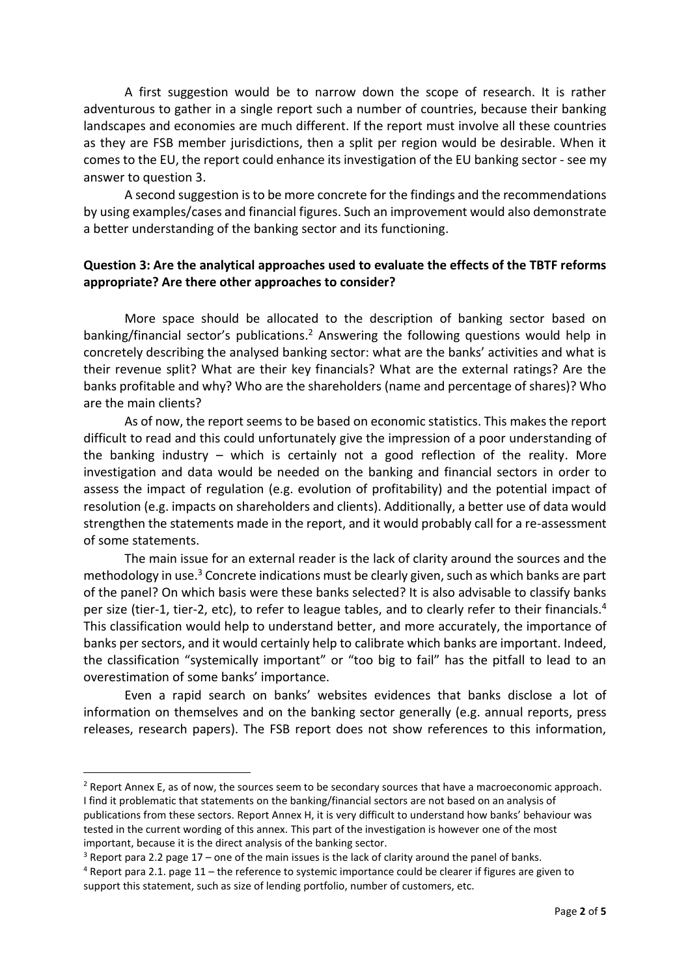A first suggestion would be to narrow down the scope of research. It is rather adventurous to gather in a single report such a number of countries, because their banking landscapes and economies are much different. If the report must involve all these countries as they are FSB member jurisdictions, then a split per region would be desirable. When it comes to the EU, the report could enhance its investigation of the EU banking sector - see my answer to question 3.

A second suggestion is to be more concrete for the findings and the recommendations by using examples/cases and financial figures. Such an improvement would also demonstrate a better understanding of the banking sector and its functioning.

### **Question 3: Are the analytical approaches used to evaluate the effects of the TBTF reforms appropriate? Are there other approaches to consider?**

More space should be allocated to the description of banking sector based on banking/financial sector's publications. <sup>2</sup> Answering the following questions would help in concretely describing the analysed banking sector: what are the banks' activities and what is their revenue split? What are their key financials? What are the external ratings? Are the banks profitable and why? Who are the shareholders (name and percentage of shares)? Who are the main clients?

As of now, the report seems to be based on economic statistics. This makes the report difficult to read and this could unfortunately give the impression of a poor understanding of the banking industry – which is certainly not a good reflection of the reality. More investigation and data would be needed on the banking and financial sectors in order to assess the impact of regulation (e.g. evolution of profitability) and the potential impact of resolution (e.g. impacts on shareholders and clients). Additionally, a better use of data would strengthen the statements made in the report, and it would probably call for a re-assessment of some statements.

The main issue for an external reader is the lack of clarity around the sources and the methodology in use.<sup>3</sup> Concrete indications must be clearly given, such as which banks are part of the panel? On which basis were these banks selected? It is also advisable to classify banks per size (tier-1, tier-2, etc), to refer to league tables, and to clearly refer to their financials.<sup>4</sup> This classification would help to understand better, and more accurately, the importance of banks per sectors, and it would certainly help to calibrate which banks are important. Indeed, the classification "systemically important" or "too big to fail" has the pitfall to lead to an overestimation of some banks' importance.

Even a rapid search on banks' websites evidences that banks disclose a lot of information on themselves and on the banking sector generally (e.g. annual reports, press releases, research papers). The FSB report does not show references to this information,

 $2$  Report Annex E, as of now, the sources seem to be secondary sources that have a macroeconomic approach. I find it problematic that statements on the banking/financial sectors are not based on an analysis of publications from these sectors. Report Annex H, it is very difficult to understand how banks' behaviour was

tested in the current wording of this annex. This part of the investigation is however one of the most important, because it is the direct analysis of the banking sector.

 $3$  Report para 2.2 page 17 – one of the main issues is the lack of clarity around the panel of banks.

 $4$  Report para 2.1. page 11 – the reference to systemic importance could be clearer if figures are given to support this statement, such as size of lending portfolio, number of customers, etc.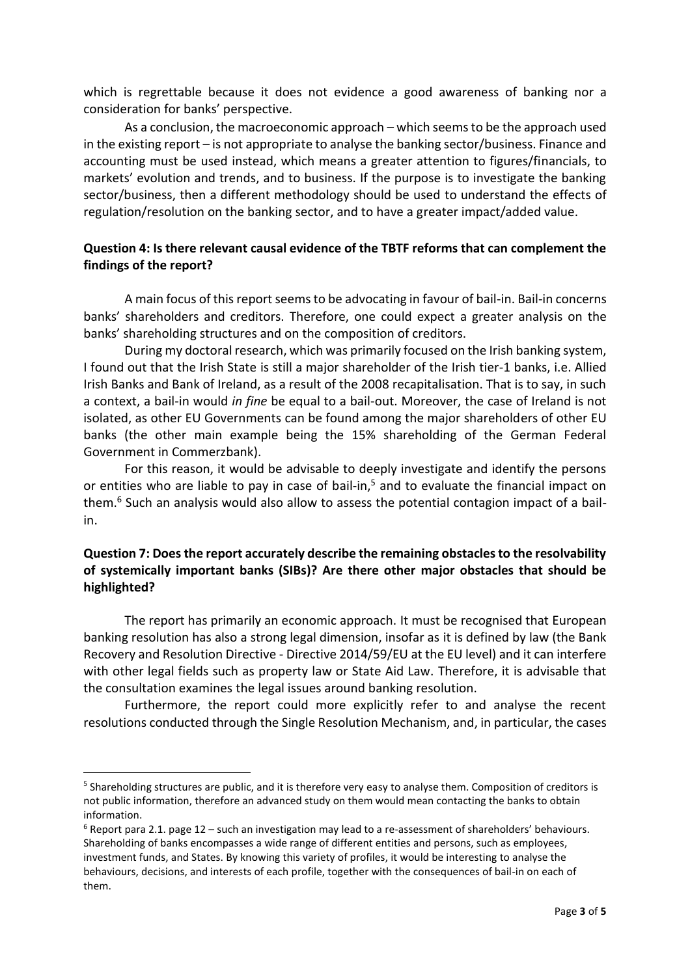which is regrettable because it does not evidence a good awareness of banking nor a consideration for banks' perspective.

As a conclusion, the macroeconomic approach – which seems to be the approach used in the existing report – is not appropriate to analyse the banking sector/business. Finance and accounting must be used instead, which means a greater attention to figures/financials, to markets' evolution and trends, and to business. If the purpose is to investigate the banking sector/business, then a different methodology should be used to understand the effects of regulation/resolution on the banking sector, and to have a greater impact/added value.

## **Question 4: Is there relevant causal evidence of the TBTF reforms that can complement the findings of the report?**

A main focus of this report seems to be advocating in favour of bail-in. Bail-in concerns banks' shareholders and creditors. Therefore, one could expect a greater analysis on the banks' shareholding structures and on the composition of creditors.

During my doctoral research, which was primarily focused on the Irish banking system, I found out that the Irish State is still a major shareholder of the Irish tier-1 banks, i.e. Allied Irish Banks and Bank of Ireland, as a result of the 2008 recapitalisation. That is to say, in such a context, a bail-in would *in fine* be equal to a bail-out. Moreover, the case of Ireland is not isolated, as other EU Governments can be found among the major shareholders of other EU banks (the other main example being the 15% shareholding of the German Federal Government in Commerzbank).

For this reason, it would be advisable to deeply investigate and identify the persons or entities who are liable to pay in case of bail-in, $<sup>5</sup>$  and to evaluate the financial impact on</sup> them.<sup>6</sup> Such an analysis would also allow to assess the potential contagion impact of a bailin.

# **Question 7: Does the report accurately describe the remaining obstacles to the resolvability of systemically important banks (SIBs)? Are there other major obstacles that should be highlighted?**

The report has primarily an economic approach. It must be recognised that European banking resolution has also a strong legal dimension, insofar as it is defined by law (the Bank Recovery and Resolution Directive - Directive 2014/59/EU at the EU level) and it can interfere with other legal fields such as property law or State Aid Law. Therefore, it is advisable that the consultation examines the legal issues around banking resolution.

Furthermore, the report could more explicitly refer to and analyse the recent resolutions conducted through the Single Resolution Mechanism, and, in particular, the cases

<sup>&</sup>lt;sup>5</sup> Shareholding structures are public, and it is therefore very easy to analyse them. Composition of creditors is not public information, therefore an advanced study on them would mean contacting the banks to obtain information.

 $6$  Report para 2.1. page 12 – such an investigation may lead to a re-assessment of shareholders' behaviours. Shareholding of banks encompasses a wide range of different entities and persons, such as employees, investment funds, and States. By knowing this variety of profiles, it would be interesting to analyse the behaviours, decisions, and interests of each profile, together with the consequences of bail-in on each of them.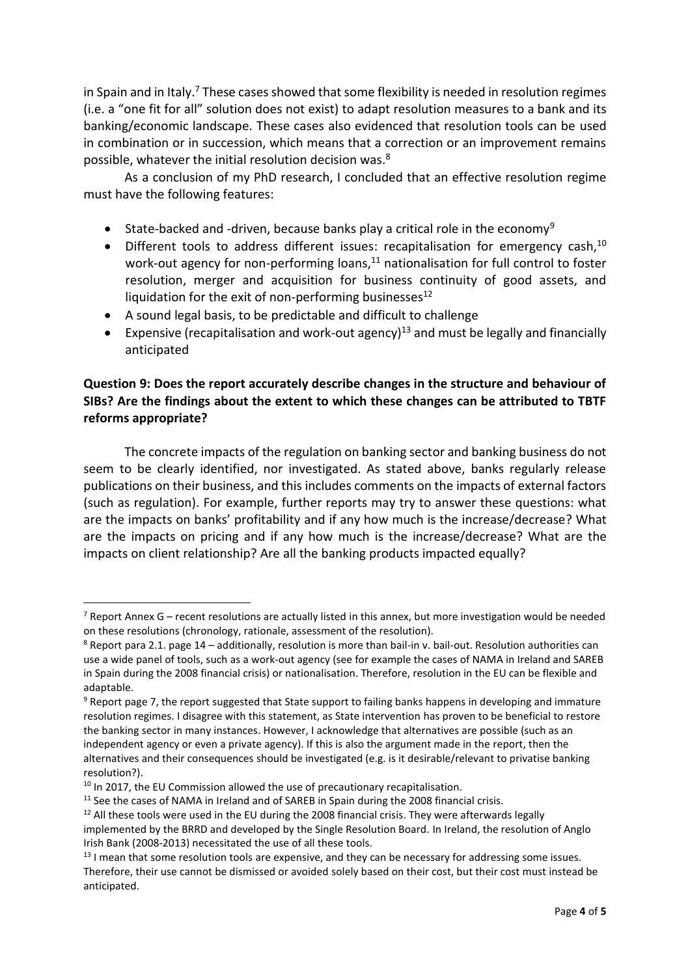in Spain and in Italy.<sup>7</sup> These cases showed that some flexibility is needed in resolution regimes (i.e. a "one fit for all" solution does not exist) to adapt resolution measures to a bank and its banking/economic landscape. These cases also evidenced that resolution tools can be used in combination or in succession, which means that a correction or an improvement remains possible, whatever the initial resolution decision was.<sup>8</sup>

As a conclusion of my PhD research, I concluded that an effective resolution regime must have the following features:

- State-backed and -driven, because banks play a critical role in the economy<sup>9</sup>
- Different tools to address different issues: recapitalisation for emergency cash, $^{10}$ work-out agency for non-performing loans,<sup>11</sup> nationalisation for full control to foster resolution, merger and acquisition for business continuity of good assets, and liquidation for the exit of non-performing businesses $^{12}$
- A sound legal basis, to be predictable and difficult to challenge
- Expensive (recapitalisation and work-out agency)<sup>13</sup> and must be legally and financially anticipated

# **Question 9: Does the report accurately describe changes in the structure and behaviour of SIBs? Are the findings about the extent to which these changes can be attributed to TBTF reforms appropriate?**

The concrete impacts of the regulation on banking sector and banking business do not seem to be clearly identified, nor investigated. As stated above, banks regularly release publications on their business, and this includes comments on the impacts of external factors (such as regulation). For example, further reports may try to answer these questions: what are the impacts on banks' profitability and if any how much is the increase/decrease? What are the impacts on pricing and if any how much is the increase/decrease? What are the impacts on client relationship? Are all the banking products impacted equally?

 $7$  Report Annex G – recent resolutions are actually listed in this annex, but more investigation would be needed on these resolutions (chronology, rationale, assessment of the resolution).

 $8$  Report para 2.1. page 14 – additionally, resolution is more than bail-in v. bail-out. Resolution authorities can use a wide panel of tools, such as a work-out agency (see for example the cases of NAMA in Ireland and SAREB in Spain during the 2008 financial crisis) or nationalisation. Therefore, resolution in the EU can be flexible and adaptable.

<sup>&</sup>lt;sup>9</sup> Report page 7, the report suggested that State support to failing banks happens in developing and immature resolution regimes. I disagree with this statement, as State intervention has proven to be beneficial to restore the banking sector in many instances. However, I acknowledge that alternatives are possible (such as an independent agency or even a private agency). If this is also the argument made in the report, then the alternatives and their consequences should be investigated (e.g. is it desirable/relevant to privatise banking resolution?).

 $10$  In 2017, the EU Commission allowed the use of precautionary recapitalisation.

 $11$  See the cases of NAMA in Ireland and of SAREB in Spain during the 2008 financial crisis.

 $12$  All these tools were used in the EU during the 2008 financial crisis. They were afterwards legally implemented by the BRRD and developed by the Single Resolution Board. In Ireland, the resolution of Anglo Irish Bank (2008-2013) necessitated the use of all these tools.

 $13$  I mean that some resolution tools are expensive, and they can be necessary for addressing some issues. Therefore, their use cannot be dismissed or avoided solely based on their cost, but their cost must instead be anticipated.